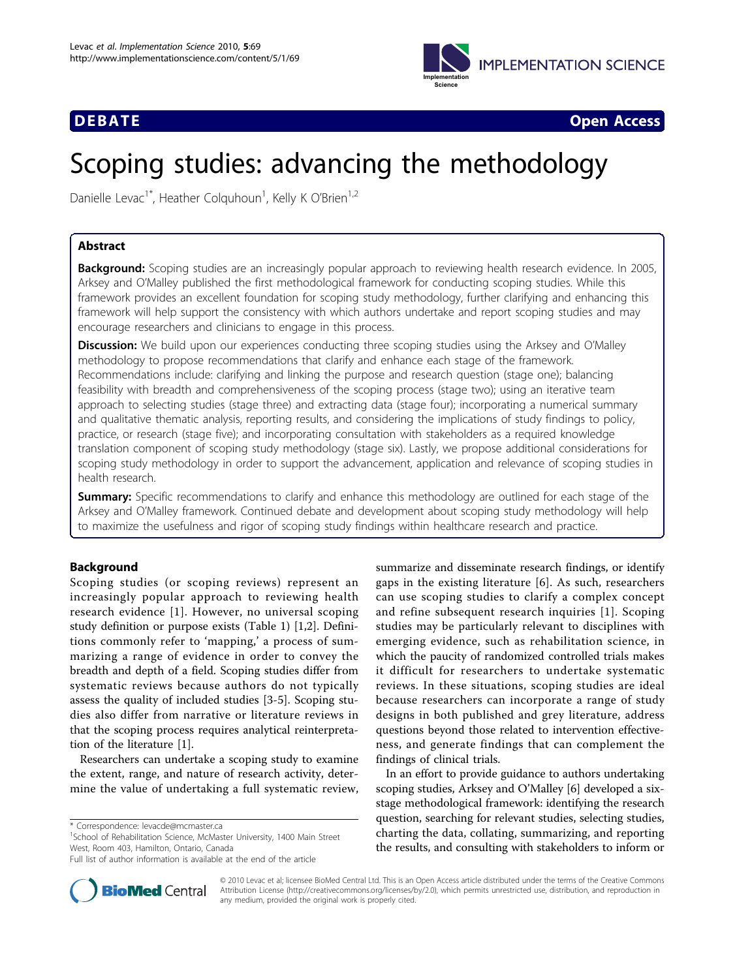

**DEBATE CONSERVATION CONSERVATION** 

# Scoping studies: advancing the methodology

Danielle Levac<sup>1\*</sup>, Heather Colquhoun<sup>1</sup>, Kelly K O'Brien<sup>1,2</sup>

# Abstract

Background: Scoping studies are an increasingly popular approach to reviewing health research evidence. In 2005, Arksey and O'Malley published the first methodological framework for conducting scoping studies. While this framework provides an excellent foundation for scoping study methodology, further clarifying and enhancing this framework will help support the consistency with which authors undertake and report scoping studies and may encourage researchers and clinicians to engage in this process.

**Discussion:** We build upon our experiences conducting three scoping studies using the Arksey and O'Malley methodology to propose recommendations that clarify and enhance each stage of the framework. Recommendations include: clarifying and linking the purpose and research question (stage one); balancing feasibility with breadth and comprehensiveness of the scoping process (stage two); using an iterative team approach to selecting studies (stage three) and extracting data (stage four); incorporating a numerical summary and qualitative thematic analysis, reporting results, and considering the implications of study findings to policy, practice, or research (stage five); and incorporating consultation with stakeholders as a required knowledge translation component of scoping study methodology (stage six). Lastly, we propose additional considerations for scoping study methodology in order to support the advancement, application and relevance of scoping studies in health research.

**Summary:** Specific recommendations to clarify and enhance this methodology are outlined for each stage of the Arksey and O'Malley framework. Continued debate and development about scoping study methodology will help to maximize the usefulness and rigor of scoping study findings within healthcare research and practice.

# Background

Scoping studies (or scoping reviews) represent an increasingly popular approach to reviewing health research evidence [[1](#page-8-0)]. However, no universal scoping study definition or purpose exists (Table [1](#page-1-0)) [[1,2\]](#page-8-0). Definitions commonly refer to 'mapping,' a process of summarizing a range of evidence in order to convey the breadth and depth of a field. Scoping studies differ from systematic reviews because authors do not typically assess the quality of included studies [[3](#page-8-0)-[5\]](#page-8-0). Scoping studies also differ from narrative or literature reviews in that the scoping process requires analytical reinterpretation of the literature [[1\]](#page-8-0).

Researchers can undertake a scoping study to examine the extent, range, and nature of research activity, determine the value of undertaking a full systematic review,

<sup>1</sup>School of Rehabilitation Science, McMaster University, 1400 Main Street West, Room 403, Hamilton, Ontario, Canada

summarize and disseminate research findings, or identify gaps in the existing literature [\[6](#page-8-0)]. As such, researchers can use scoping studies to clarify a complex concept and refine subsequent research inquiries [[1](#page-8-0)]. Scoping studies may be particularly relevant to disciplines with emerging evidence, such as rehabilitation science, in which the paucity of randomized controlled trials makes it difficult for researchers to undertake systematic reviews. In these situations, scoping studies are ideal because researchers can incorporate a range of study designs in both published and grey literature, address questions beyond those related to intervention effectiveness, and generate findings that can complement the findings of clinical trials.

In an effort to provide guidance to authors undertaking scoping studies, Arksey and O'Malley [[6](#page-8-0)] developed a sixstage methodological framework: identifying the research question, searching for relevant studies, selecting studies, charting the data, collating, summarizing, and reporting the results, and consulting with stakeholders to inform or



© 2010 Levac et al; licensee BioMed Central Ltd. This is an Open Access article distributed under the terms of the Creative Commons Attribution License [\(http://creativecommons.org/licenses/by/2.0](http://creativecommons.org/licenses/by/2.0)), which permits unrestricted use, distribution, and reproduction in any medium, provided the original work is properly cited.

<sup>\*</sup> Correspondence: [levacde@mcmaster.ca](mailto:levacde@mcmaster.ca)

Full list of author information is available at the end of the article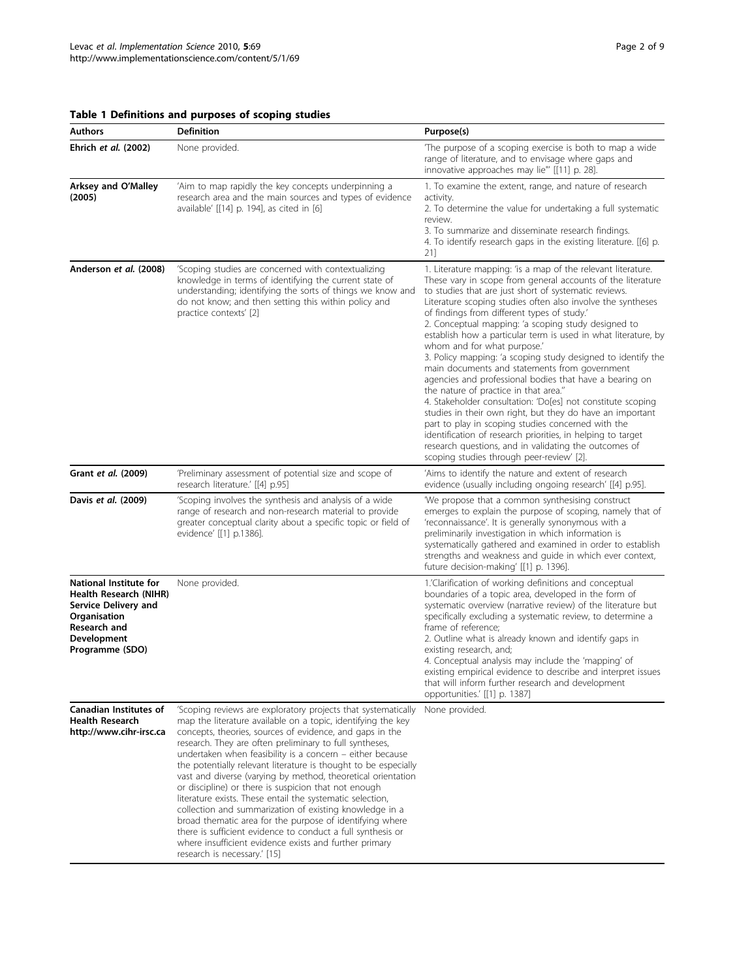<span id="page-1-0"></span>

|--|

| Authors                                                                                                                                    | <b>Definition</b>                                                                                                                                                                                                                                                                                                                                                                                                                                                                                                                                                                                                                                                                                                                                                                                                                                         | Purpose(s)                                                                                                                                                                                                                                                                                                                                                                                                                                                                                                                                                                                                                                                                                                                                                                                                                                                                                                                                                                                                                             |
|--------------------------------------------------------------------------------------------------------------------------------------------|-----------------------------------------------------------------------------------------------------------------------------------------------------------------------------------------------------------------------------------------------------------------------------------------------------------------------------------------------------------------------------------------------------------------------------------------------------------------------------------------------------------------------------------------------------------------------------------------------------------------------------------------------------------------------------------------------------------------------------------------------------------------------------------------------------------------------------------------------------------|----------------------------------------------------------------------------------------------------------------------------------------------------------------------------------------------------------------------------------------------------------------------------------------------------------------------------------------------------------------------------------------------------------------------------------------------------------------------------------------------------------------------------------------------------------------------------------------------------------------------------------------------------------------------------------------------------------------------------------------------------------------------------------------------------------------------------------------------------------------------------------------------------------------------------------------------------------------------------------------------------------------------------------------|
| Ehrich et al. (2002)                                                                                                                       | None provided.                                                                                                                                                                                                                                                                                                                                                                                                                                                                                                                                                                                                                                                                                                                                                                                                                                            | The purpose of a scoping exercise is both to map a wide<br>range of literature, and to envisage where gaps and<br>innovative approaches may lie" [[11] p. 28].                                                                                                                                                                                                                                                                                                                                                                                                                                                                                                                                                                                                                                                                                                                                                                                                                                                                         |
| Arksey and O'Malley<br>(2005)                                                                                                              | 'Aim to map rapidly the key concepts underpinning a<br>research area and the main sources and types of evidence<br>available' [[14] p. 194], as cited in [6]                                                                                                                                                                                                                                                                                                                                                                                                                                                                                                                                                                                                                                                                                              | 1. To examine the extent, range, and nature of research<br>activity.<br>2. To determine the value for undertaking a full systematic<br>review.<br>3. To summarize and disseminate research findings.<br>4. To identify research gaps in the existing literature. [[6] p.<br>21]                                                                                                                                                                                                                                                                                                                                                                                                                                                                                                                                                                                                                                                                                                                                                        |
| Anderson et al. (2008)                                                                                                                     | 'Scoping studies are concerned with contextualizing<br>knowledge in terms of identifying the current state of<br>understanding; identifying the sorts of things we know and<br>do not know; and then setting this within policy and<br>practice contexts' [2]                                                                                                                                                                                                                                                                                                                                                                                                                                                                                                                                                                                             | 1. Literature mapping: 'is a map of the relevant literature.<br>These vary in scope from general accounts of the literature<br>to studies that are just short of systematic reviews.<br>Literature scoping studies often also involve the syntheses<br>of findings from different types of study.'<br>2. Conceptual mapping: 'a scoping study designed to<br>establish how a particular term is used in what literature, by<br>whom and for what purpose.'<br>3. Policy mapping: 'a scoping study designed to identify the<br>main documents and statements from government<br>agencies and professional bodies that have a bearing on<br>the nature of practice in that area."<br>4. Stakeholder consultation: 'Do[es] not constitute scoping<br>studies in their own right, but they do have an important<br>part to play in scoping studies concerned with the<br>identification of research priorities, in helping to target<br>research questions, and in validating the outcomes of<br>scoping studies through peer-review' [2]. |
| Grant et al. (2009)                                                                                                                        | 'Preliminary assessment of potential size and scope of<br>research literature.' [[4] p.95]                                                                                                                                                                                                                                                                                                                                                                                                                                                                                                                                                                                                                                                                                                                                                                | 'Aims to identify the nature and extent of research<br>evidence (usually including ongoing research' [[4] p.95].                                                                                                                                                                                                                                                                                                                                                                                                                                                                                                                                                                                                                                                                                                                                                                                                                                                                                                                       |
| Davis et al. (2009)                                                                                                                        | 'Scoping involves the synthesis and analysis of a wide<br>range of research and non-research material to provide<br>greater conceptual clarity about a specific topic or field of<br>evidence' [[1] p.1386].                                                                                                                                                                                                                                                                                                                                                                                                                                                                                                                                                                                                                                              | 'We propose that a common synthesising construct<br>emerges to explain the purpose of scoping, namely that of<br>'reconnaissance'. It is generally synonymous with a<br>preliminarily investigation in which information is<br>systematically gathered and examined in order to establish<br>strengths and weakness and guide in which ever context,<br>future decision-making' [[1] p. 1396].                                                                                                                                                                                                                                                                                                                                                                                                                                                                                                                                                                                                                                         |
| National Institute for<br>Health Research (NIHR)<br>Service Delivery and<br>Organisation<br>Research and<br>Development<br>Programme (SDO) | None provided.                                                                                                                                                                                                                                                                                                                                                                                                                                                                                                                                                                                                                                                                                                                                                                                                                                            | 1.'Clarification of working definitions and conceptual<br>boundaries of a topic area, developed in the form of<br>systematic overview (narrative review) of the literature but<br>specifically excluding a systematic review, to determine a<br>frame of reference;<br>2. Outline what is already known and identify gaps in<br>existing research, and;<br>4. Conceptual analysis may include the 'mapping' of<br>existing empirical evidence to describe and interpret issues<br>that will inform further research and development<br>opportunities.' [[1] p. 1387]                                                                                                                                                                                                                                                                                                                                                                                                                                                                   |
| Canadian Institutes of<br><b>Health Research</b><br>http://www.cihr-irsc.ca                                                                | 'Scoping reviews are exploratory projects that systematically<br>map the literature available on a topic, identifying the key<br>concepts, theories, sources of evidence, and gaps in the<br>research. They are often preliminary to full syntheses,<br>undertaken when feasibility is a concern - either because<br>the potentially relevant literature is thought to be especially<br>vast and diverse (varying by method, theoretical orientation<br>or discipline) or there is suspicion that not enough<br>literature exists. These entail the systematic selection,<br>collection and summarization of existing knowledge in a<br>broad thematic area for the purpose of identifying where<br>there is sufficient evidence to conduct a full synthesis or<br>where insufficient evidence exists and further primary<br>research is necessary.' [15] | None provided.                                                                                                                                                                                                                                                                                                                                                                                                                                                                                                                                                                                                                                                                                                                                                                                                                                                                                                                                                                                                                         |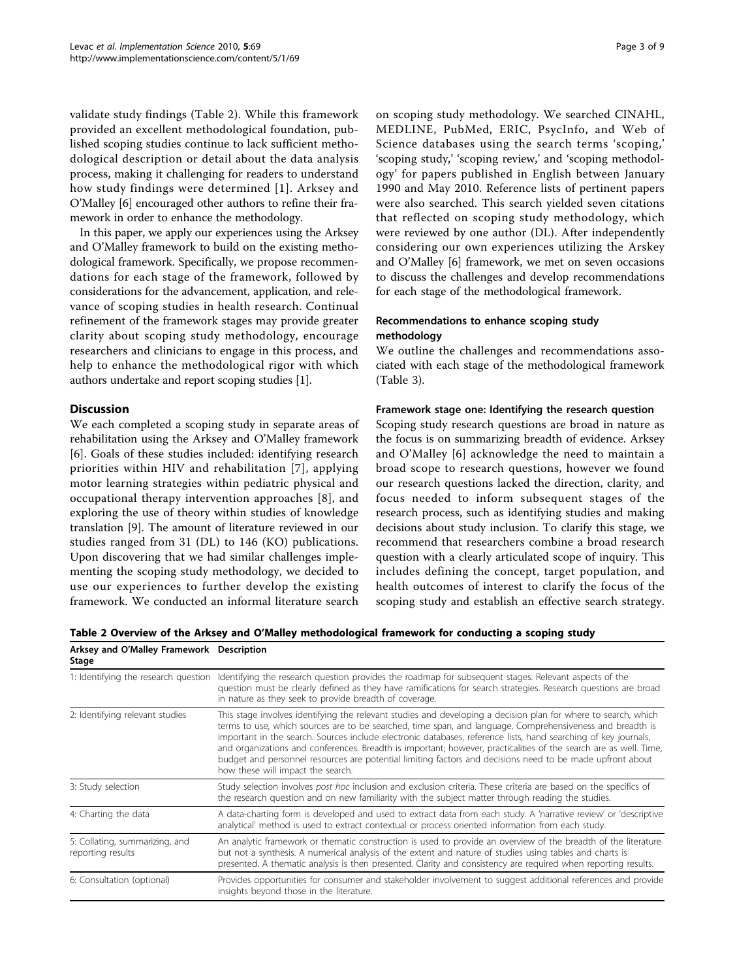validate study findings (Table 2). While this framework provided an excellent methodological foundation, published scoping studies continue to lack sufficient methodological description or detail about the data analysis process, making it challenging for readers to understand how study findings were determined [[1\]](#page-8-0). Arksey and O'Malley [\[6](#page-8-0)] encouraged other authors to refine their framework in order to enhance the methodology.

In this paper, we apply our experiences using the Arksey and O'Malley framework to build on the existing methodological framework. Specifically, we propose recommendations for each stage of the framework, followed by considerations for the advancement, application, and relevance of scoping studies in health research. Continual refinement of the framework stages may provide greater clarity about scoping study methodology, encourage researchers and clinicians to engage in this process, and help to enhance the methodological rigor with which authors undertake and report scoping studies [[1\]](#page-8-0).

# **Discussion**

We each completed a scoping study in separate areas of rehabilitation using the Arksey and O'Malley framework [[6\]](#page-8-0). Goals of these studies included: identifying research priorities within HIV and rehabilitation [[7](#page-8-0)], applying motor learning strategies within pediatric physical and occupational therapy intervention approaches [[8\]](#page-8-0), and exploring the use of theory within studies of knowledge translation [[9\]](#page-8-0). The amount of literature reviewed in our studies ranged from 31 (DL) to 146 (KO) publications. Upon discovering that we had similar challenges implementing the scoping study methodology, we decided to use our experiences to further develop the existing framework. We conducted an informal literature search

on scoping study methodology. We searched CINAHL, MEDLINE, PubMed, ERIC, PsycInfo, and Web of Science databases using the search terms 'scoping,' 'scoping study,' 'scoping review,' and 'scoping methodology' for papers published in English between January 1990 and May 2010. Reference lists of pertinent papers were also searched. This search yielded seven citations that reflected on scoping study methodology, which were reviewed by one author (DL). After independently considering our own experiences utilizing the Arskey and O'Malley [\[6](#page-8-0)] framework, we met on seven occasions to discuss the challenges and develop recommendations for each stage of the methodological framework.

## Recommendations to enhance scoping study methodology

We outline the challenges and recommendations associated with each stage of the methodological framework (Table [3\)](#page-3-0).

## Framework stage one: Identifying the research question

Scoping study research questions are broad in nature as the focus is on summarizing breadth of evidence. Arksey and O'Malley [[6\]](#page-8-0) acknowledge the need to maintain a broad scope to research questions, however we found our research questions lacked the direction, clarity, and focus needed to inform subsequent stages of the research process, such as identifying studies and making decisions about study inclusion. To clarify this stage, we recommend that researchers combine a broad research question with a clearly articulated scope of inquiry. This includes defining the concept, target population, and health outcomes of interest to clarify the focus of the scoping study and establish an effective search strategy.

Table 2 Overview of the Arksey and O'Malley methodological framework for conducting a scoping study

| Arksey and O'Malley Framework Description<br>Stage                                                                                                                                                                                                                                                                                                                                                                                                                                                                                                                                                                                                       |                                                                                                                                                                                                                                                                                                                                              |  |
|----------------------------------------------------------------------------------------------------------------------------------------------------------------------------------------------------------------------------------------------------------------------------------------------------------------------------------------------------------------------------------------------------------------------------------------------------------------------------------------------------------------------------------------------------------------------------------------------------------------------------------------------------------|----------------------------------------------------------------------------------------------------------------------------------------------------------------------------------------------------------------------------------------------------------------------------------------------------------------------------------------------|--|
| 1: Identifying the research question                                                                                                                                                                                                                                                                                                                                                                                                                                                                                                                                                                                                                     | Identifying the research question provides the roadmap for subsequent stages. Relevant aspects of the<br>question must be clearly defined as they have ramifications for search strategies. Research questions are broad<br>in nature as they seek to provide breadth of coverage.                                                           |  |
| This stage involves identifying the relevant studies and developing a decision plan for where to search, which<br>2: Identifying relevant studies<br>terms to use, which sources are to be searched, time span, and language. Comprehensiveness and breadth is<br>important in the search. Sources include electronic databases, reference lists, hand searching of key journals,<br>and organizations and conferences. Breadth is important; however, practicalities of the search are as well. Time,<br>budget and personnel resources are potential limiting factors and decisions need to be made upfront about<br>how these will impact the search. |                                                                                                                                                                                                                                                                                                                                              |  |
| 3: Study selection                                                                                                                                                                                                                                                                                                                                                                                                                                                                                                                                                                                                                                       | Study selection involves post hoc inclusion and exclusion criteria. These criteria are based on the specifics of<br>the research question and on new familiarity with the subject matter through reading the studies.                                                                                                                        |  |
| 4: Charting the data                                                                                                                                                                                                                                                                                                                                                                                                                                                                                                                                                                                                                                     | A data-charting form is developed and used to extract data from each study. A 'narrative review' or 'descriptive<br>analytical' method is used to extract contextual or process oriented information from each study.                                                                                                                        |  |
| 5: Collating, summarizing, and<br>reporting results                                                                                                                                                                                                                                                                                                                                                                                                                                                                                                                                                                                                      | An analytic framework or thematic construction is used to provide an overview of the breadth of the literature<br>but not a synthesis. A numerical analysis of the extent and nature of studies using tables and charts is<br>presented. A thematic analysis is then presented. Clarity and consistency are required when reporting results. |  |
| 6: Consultation (optional)                                                                                                                                                                                                                                                                                                                                                                                                                                                                                                                                                                                                                               | Provides opportunities for consumer and stakeholder involvement to suggest additional references and provide<br>insights beyond those in the literature.                                                                                                                                                                                     |  |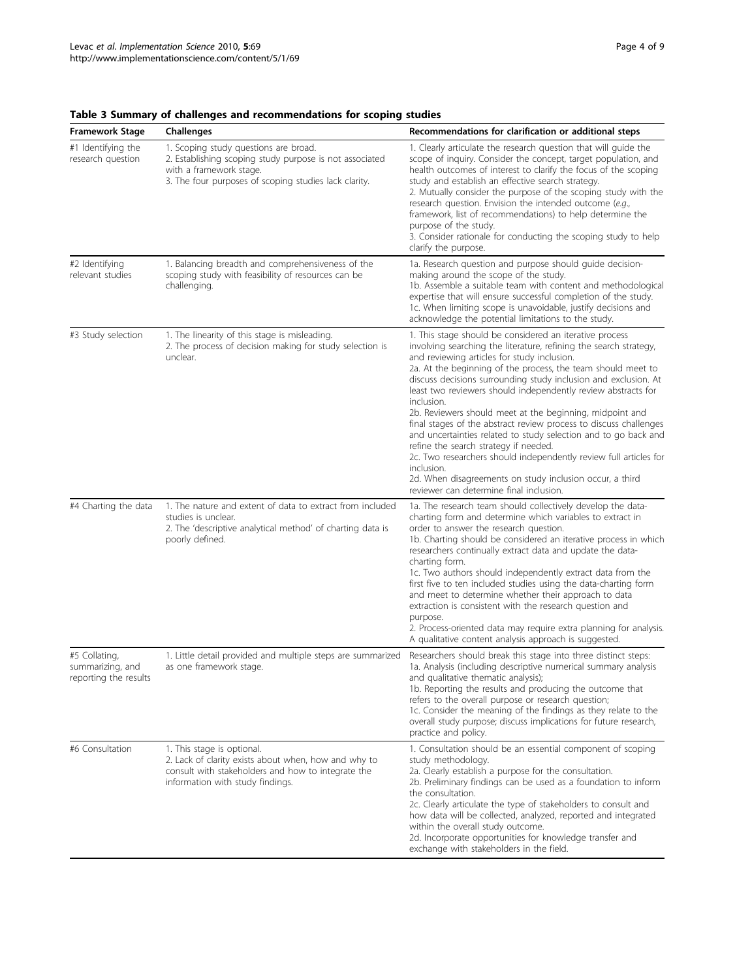| <b>Framework Stage</b>                                     | <b>Challenges</b>                                                                                                                                                                    | Recommendations for clarification or additional steps                                                                                                                                                                                                                                                                                                                                                                                                                                                                                                                                                                                                                                                                                                                                                                                |
|------------------------------------------------------------|--------------------------------------------------------------------------------------------------------------------------------------------------------------------------------------|--------------------------------------------------------------------------------------------------------------------------------------------------------------------------------------------------------------------------------------------------------------------------------------------------------------------------------------------------------------------------------------------------------------------------------------------------------------------------------------------------------------------------------------------------------------------------------------------------------------------------------------------------------------------------------------------------------------------------------------------------------------------------------------------------------------------------------------|
| #1 Identifying the<br>research question                    | 1. Scoping study questions are broad.<br>2. Establishing scoping study purpose is not associated<br>with a framework stage.<br>3. The four purposes of scoping studies lack clarity. | 1. Clearly articulate the research question that will quide the<br>scope of inquiry. Consider the concept, target population, and<br>health outcomes of interest to clarify the focus of the scoping<br>study and establish an effective search strategy.<br>2. Mutually consider the purpose of the scoping study with the<br>research question. Envision the intended outcome (e.g.,<br>framework, list of recommendations) to help determine the<br>purpose of the study.<br>3. Consider rationale for conducting the scoping study to help<br>clarify the purpose.                                                                                                                                                                                                                                                               |
| #2 Identifying<br>relevant studies                         | 1. Balancing breadth and comprehensiveness of the<br>scoping study with feasibility of resources can be<br>challenging.                                                              | 1a. Research question and purpose should guide decision-<br>making around the scope of the study.<br>1b. Assemble a suitable team with content and methodological<br>expertise that will ensure successful completion of the study.<br>1c. When limiting scope is unavoidable, justify decisions and<br>acknowledge the potential limitations to the study.                                                                                                                                                                                                                                                                                                                                                                                                                                                                          |
| #3 Study selection                                         | 1. The linearity of this stage is misleading.<br>2. The process of decision making for study selection is<br>unclear.                                                                | 1. This stage should be considered an iterative process<br>involving searching the literature, refining the search strategy,<br>and reviewing articles for study inclusion.<br>2a. At the beginning of the process, the team should meet to<br>discuss decisions surrounding study inclusion and exclusion. At<br>least two reviewers should independently review abstracts for<br>inclusion.<br>2b. Reviewers should meet at the beginning, midpoint and<br>final stages of the abstract review process to discuss challenges<br>and uncertainties related to study selection and to go back and<br>refine the search strategy if needed.<br>2c. Two researchers should independently review full articles for<br>inclusion.<br>2d. When disagreements on study inclusion occur, a third<br>reviewer can determine final inclusion. |
| #4 Charting the data                                       | 1. The nature and extent of data to extract from included<br>studies is unclear.<br>2. The 'descriptive analytical method' of charting data is<br>poorly defined.                    | 1a. The research team should collectively develop the data-<br>charting form and determine which variables to extract in<br>order to answer the research question.<br>1b. Charting should be considered an iterative process in which<br>researchers continually extract data and update the data-<br>charting form.<br>1c. Two authors should independently extract data from the<br>first five to ten included studies using the data-charting form<br>and meet to determine whether their approach to data<br>extraction is consistent with the research question and<br>purpose.<br>2. Process-oriented data may require extra planning for analysis.<br>A qualitative content analysis approach is suggested.                                                                                                                   |
| #5 Collating,<br>summarizing, and<br>reporting the results | 1. Little detail provided and multiple steps are summarized<br>as one framework stage.                                                                                               | Researchers should break this stage into three distinct steps:<br>1a. Analysis (including descriptive numerical summary analysis<br>and qualitative thematic analysis);<br>1b. Reporting the results and producing the outcome that<br>refers to the overall purpose or research question;<br>1c. Consider the meaning of the findings as they relate to the<br>overall study purpose; discuss implications for future research,<br>practice and policy.                                                                                                                                                                                                                                                                                                                                                                             |
| #6 Consultation                                            | 1. This stage is optional.<br>2. Lack of clarity exists about when, how and why to<br>consult with stakeholders and how to integrate the<br>information with study findings.         | 1. Consultation should be an essential component of scoping<br>study methodology.<br>2a. Clearly establish a purpose for the consultation.<br>2b. Preliminary findings can be used as a foundation to inform<br>the consultation.<br>2c. Clearly articulate the type of stakeholders to consult and<br>how data will be collected, analyzed, reported and integrated<br>within the overall study outcome.<br>2d. Incorporate opportunities for knowledge transfer and<br>exchange with stakeholders in the field.                                                                                                                                                                                                                                                                                                                    |

# <span id="page-3-0"></span>Table 3 Summary of challenges and recommendations for scoping studies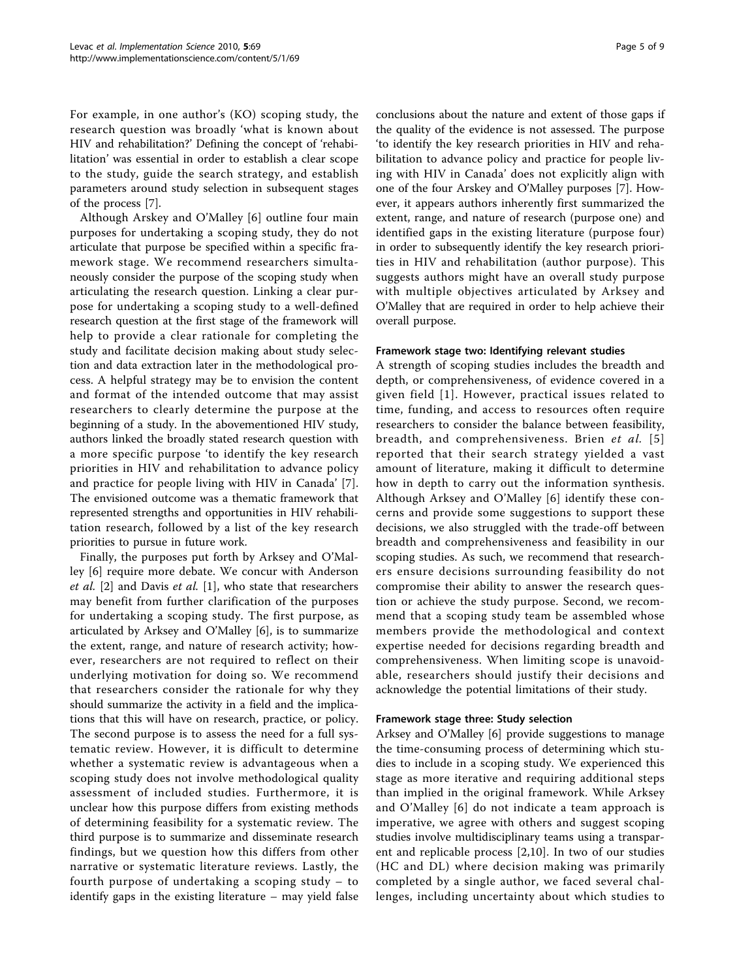For example, in one author's (KO) scoping study, the research question was broadly 'what is known about HIV and rehabilitation?' Defining the concept of 'rehabilitation' was essential in order to establish a clear scope to the study, guide the search strategy, and establish parameters around study selection in subsequent stages of the process [[7](#page-8-0)].

Although Arskey and O'Malley [[6\]](#page-8-0) outline four main purposes for undertaking a scoping study, they do not articulate that purpose be specified within a specific framework stage. We recommend researchers simultaneously consider the purpose of the scoping study when articulating the research question. Linking a clear purpose for undertaking a scoping study to a well-defined research question at the first stage of the framework will help to provide a clear rationale for completing the study and facilitate decision making about study selection and data extraction later in the methodological process. A helpful strategy may be to envision the content and format of the intended outcome that may assist researchers to clearly determine the purpose at the beginning of a study. In the abovementioned HIV study, authors linked the broadly stated research question with a more specific purpose 'to identify the key research priorities in HIV and rehabilitation to advance policy and practice for people living with HIV in Canada' [[7](#page-8-0)]. The envisioned outcome was a thematic framework that represented strengths and opportunities in HIV rehabilitation research, followed by a list of the key research priorities to pursue in future work.

Finally, the purposes put forth by Arksey and O'Malley [[6](#page-8-0)] require more debate. We concur with Anderson *et al.* [\[2](#page-8-0)] and Davis *et al.* [[1\]](#page-8-0), who state that researchers may benefit from further clarification of the purposes for undertaking a scoping study. The first purpose, as articulated by Arksey and O'Malley [\[6](#page-8-0)], is to summarize the extent, range, and nature of research activity; however, researchers are not required to reflect on their underlying motivation for doing so. We recommend that researchers consider the rationale for why they should summarize the activity in a field and the implications that this will have on research, practice, or policy. The second purpose is to assess the need for a full systematic review. However, it is difficult to determine whether a systematic review is advantageous when a scoping study does not involve methodological quality assessment of included studies. Furthermore, it is unclear how this purpose differs from existing methods of determining feasibility for a systematic review. The third purpose is to summarize and disseminate research findings, but we question how this differs from other narrative or systematic literature reviews. Lastly, the fourth purpose of undertaking a scoping study – to identify gaps in the existing literature – may yield false conclusions about the nature and extent of those gaps if the quality of the evidence is not assessed. The purpose 'to identify the key research priorities in HIV and rehabilitation to advance policy and practice for people living with HIV in Canada' does not explicitly align with one of the four Arskey and O'Malley purposes [\[7](#page-8-0)]. However, it appears authors inherently first summarized the extent, range, and nature of research (purpose one) and identified gaps in the existing literature (purpose four) in order to subsequently identify the key research priorities in HIV and rehabilitation (author purpose). This suggests authors might have an overall study purpose with multiple objectives articulated by Arksey and O'Malley that are required in order to help achieve their overall purpose.

#### Framework stage two: Identifying relevant studies

A strength of scoping studies includes the breadth and depth, or comprehensiveness, of evidence covered in a given field [[1](#page-8-0)]. However, practical issues related to time, funding, and access to resources often require researchers to consider the balance between feasibility, breadth, and comprehensiveness. Brien *et al.* [[5](#page-8-0)] reported that their search strategy yielded a vast amount of literature, making it difficult to determine how in depth to carry out the information synthesis. Although Arksey and O'Malley [[6](#page-8-0)] identify these concerns and provide some suggestions to support these decisions, we also struggled with the trade-off between breadth and comprehensiveness and feasibility in our scoping studies. As such, we recommend that researchers ensure decisions surrounding feasibility do not compromise their ability to answer the research question or achieve the study purpose. Second, we recommend that a scoping study team be assembled whose members provide the methodological and context expertise needed for decisions regarding breadth and comprehensiveness. When limiting scope is unavoidable, researchers should justify their decisions and acknowledge the potential limitations of their study.

#### Framework stage three: Study selection

Arksey and O'Malley [[6\]](#page-8-0) provide suggestions to manage the time-consuming process of determining which studies to include in a scoping study. We experienced this stage as more iterative and requiring additional steps than implied in the original framework. While Arksey and O'Malley [[6](#page-8-0)] do not indicate a team approach is imperative, we agree with others and suggest scoping studies involve multidisciplinary teams using a transparent and replicable process [\[2](#page-8-0),[10\]](#page-8-0). In two of our studies (HC and DL) where decision making was primarily completed by a single author, we faced several challenges, including uncertainty about which studies to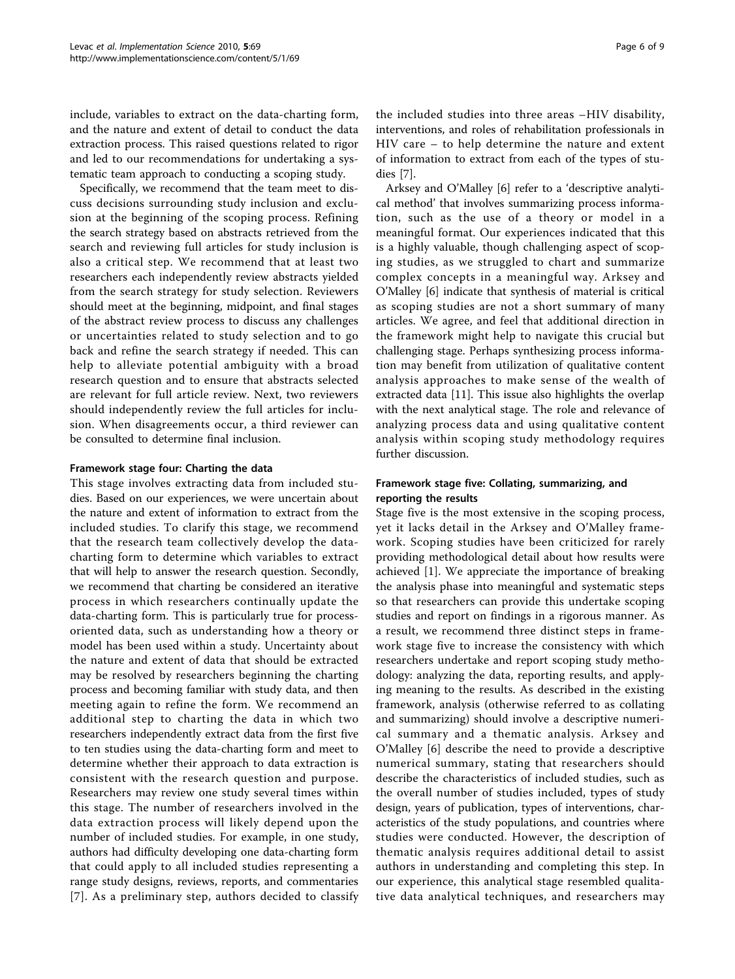include, variables to extract on the data-charting form, and the nature and extent of detail to conduct the data extraction process. This raised questions related to rigor and led to our recommendations for undertaking a systematic team approach to conducting a scoping study.

Specifically, we recommend that the team meet to discuss decisions surrounding study inclusion and exclusion at the beginning of the scoping process. Refining the search strategy based on abstracts retrieved from the search and reviewing full articles for study inclusion is also a critical step. We recommend that at least two researchers each independently review abstracts yielded from the search strategy for study selection. Reviewers should meet at the beginning, midpoint, and final stages of the abstract review process to discuss any challenges or uncertainties related to study selection and to go back and refine the search strategy if needed. This can help to alleviate potential ambiguity with a broad research question and to ensure that abstracts selected are relevant for full article review. Next, two reviewers should independently review the full articles for inclusion. When disagreements occur, a third reviewer can be consulted to determine final inclusion.

#### Framework stage four: Charting the data

This stage involves extracting data from included studies. Based on our experiences, we were uncertain about the nature and extent of information to extract from the included studies. To clarify this stage, we recommend that the research team collectively develop the datacharting form to determine which variables to extract that will help to answer the research question. Secondly, we recommend that charting be considered an iterative process in which researchers continually update the data-charting form. This is particularly true for processoriented data, such as understanding how a theory or model has been used within a study. Uncertainty about the nature and extent of data that should be extracted may be resolved by researchers beginning the charting process and becoming familiar with study data, and then meeting again to refine the form. We recommend an additional step to charting the data in which two researchers independently extract data from the first five to ten studies using the data-charting form and meet to determine whether their approach to data extraction is consistent with the research question and purpose. Researchers may review one study several times within this stage. The number of researchers involved in the data extraction process will likely depend upon the number of included studies. For example, in one study, authors had difficulty developing one data-charting form that could apply to all included studies representing a range study designs, reviews, reports, and commentaries [[7](#page-8-0)]. As a preliminary step, authors decided to classify dies [[7\]](#page-8-0). Arksey and O'Malley [[6\]](#page-8-0) refer to a 'descriptive analytical method' that involves summarizing process information, such as the use of a theory or model in a meaningful format. Our experiences indicated that this is a highly valuable, though challenging aspect of scoping studies, as we struggled to chart and summarize complex concepts in a meaningful way. Arksey and O'Malley [\[6\]](#page-8-0) indicate that synthesis of material is critical as scoping studies are not a short summary of many articles. We agree, and feel that additional direction in the framework might help to navigate this crucial but challenging stage. Perhaps synthesizing process information may benefit from utilization of qualitative content analysis approaches to make sense of the wealth of extracted data [[11](#page-8-0)]. This issue also highlights the overlap with the next analytical stage. The role and relevance of analyzing process data and using qualitative content analysis within scoping study methodology requires further discussion.

# Framework stage five: Collating, summarizing, and reporting the results

Stage five is the most extensive in the scoping process, yet it lacks detail in the Arksey and O'Malley framework. Scoping studies have been criticized for rarely providing methodological detail about how results were achieved [[1\]](#page-8-0). We appreciate the importance of breaking the analysis phase into meaningful and systematic steps so that researchers can provide this undertake scoping studies and report on findings in a rigorous manner. As a result, we recommend three distinct steps in framework stage five to increase the consistency with which researchers undertake and report scoping study methodology: analyzing the data, reporting results, and applying meaning to the results. As described in the existing framework, analysis (otherwise referred to as collating and summarizing) should involve a descriptive numerical summary and a thematic analysis. Arksey and O'Malley [\[6](#page-8-0)] describe the need to provide a descriptive numerical summary, stating that researchers should describe the characteristics of included studies, such as the overall number of studies included, types of study design, years of publication, types of interventions, characteristics of the study populations, and countries where studies were conducted. However, the description of thematic analysis requires additional detail to assist authors in understanding and completing this step. In our experience, this analytical stage resembled qualitative data analytical techniques, and researchers may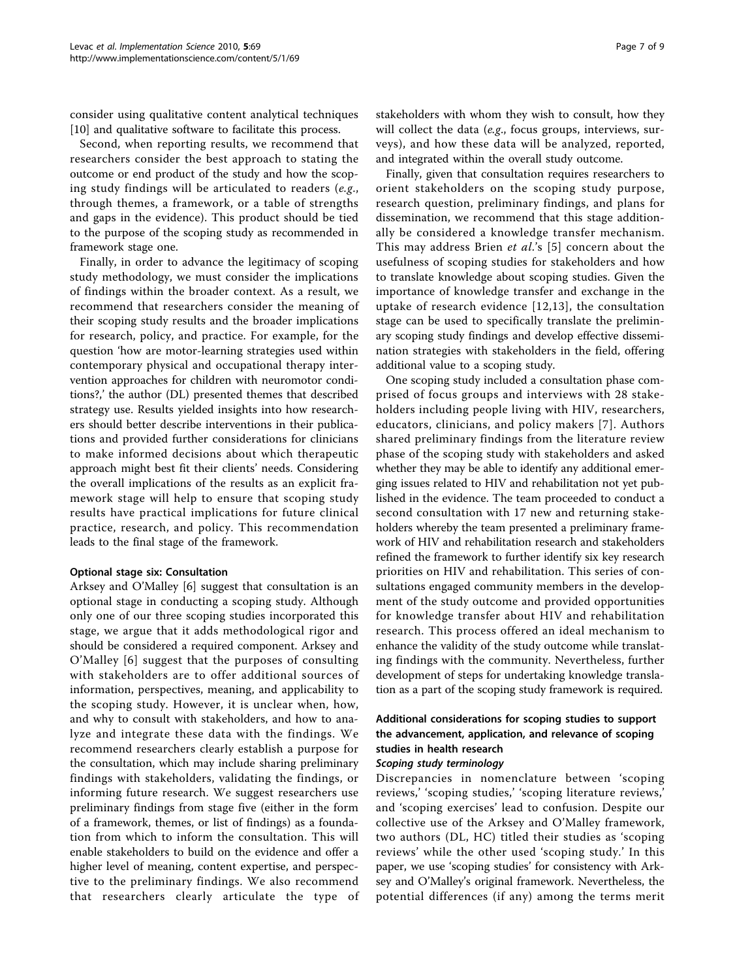consider using qualitative content analytical techniques [[10\]](#page-8-0) and qualitative software to facilitate this process.

Second, when reporting results, we recommend that researchers consider the best approach to stating the outcome or end product of the study and how the scoping study findings will be articulated to readers (e.g., through themes, a framework, or a table of strengths and gaps in the evidence). This product should be tied to the purpose of the scoping study as recommended in framework stage one.

Finally, in order to advance the legitimacy of scoping study methodology, we must consider the implications of findings within the broader context. As a result, we recommend that researchers consider the meaning of their scoping study results and the broader implications for research, policy, and practice. For example, for the question 'how are motor-learning strategies used within contemporary physical and occupational therapy intervention approaches for children with neuromotor conditions?,' the author (DL) presented themes that described strategy use. Results yielded insights into how researchers should better describe interventions in their publications and provided further considerations for clinicians to make informed decisions about which therapeutic approach might best fit their clients' needs. Considering the overall implications of the results as an explicit framework stage will help to ensure that scoping study results have practical implications for future clinical practice, research, and policy. This recommendation leads to the final stage of the framework.

#### Optional stage six: Consultation

Arksey and O'Malley [\[6](#page-8-0)] suggest that consultation is an optional stage in conducting a scoping study. Although only one of our three scoping studies incorporated this stage, we argue that it adds methodological rigor and should be considered a required component. Arksey and O'Malley [\[6\]](#page-8-0) suggest that the purposes of consulting with stakeholders are to offer additional sources of information, perspectives, meaning, and applicability to the scoping study. However, it is unclear when, how, and why to consult with stakeholders, and how to analyze and integrate these data with the findings. We recommend researchers clearly establish a purpose for the consultation, which may include sharing preliminary findings with stakeholders, validating the findings, or informing future research. We suggest researchers use preliminary findings from stage five (either in the form of a framework, themes, or list of findings) as a foundation from which to inform the consultation. This will enable stakeholders to build on the evidence and offer a higher level of meaning, content expertise, and perspective to the preliminary findings. We also recommend that researchers clearly articulate the type of

Finally, given that consultation requires researchers to orient stakeholders on the scoping study purpose, research question, preliminary findings, and plans for dissemination, we recommend that this stage additionally be considered a knowledge transfer mechanism. This may address Brien et al.'s [[5](#page-8-0)] concern about the usefulness of scoping studies for stakeholders and how to translate knowledge about scoping studies. Given the importance of knowledge transfer and exchange in the uptake of research evidence [[12,13\]](#page-8-0), the consultation stage can be used to specifically translate the preliminary scoping study findings and develop effective dissemination strategies with stakeholders in the field, offering additional value to a scoping study.

One scoping study included a consultation phase comprised of focus groups and interviews with 28 stakeholders including people living with HIV, researchers, educators, clinicians, and policy makers [\[7\]](#page-8-0). Authors shared preliminary findings from the literature review phase of the scoping study with stakeholders and asked whether they may be able to identify any additional emerging issues related to HIV and rehabilitation not yet published in the evidence. The team proceeded to conduct a second consultation with 17 new and returning stakeholders whereby the team presented a preliminary framework of HIV and rehabilitation research and stakeholders refined the framework to further identify six key research priorities on HIV and rehabilitation. This series of consultations engaged community members in the development of the study outcome and provided opportunities for knowledge transfer about HIV and rehabilitation research. This process offered an ideal mechanism to enhance the validity of the study outcome while translating findings with the community. Nevertheless, further development of steps for undertaking knowledge translation as a part of the scoping study framework is required.

# Additional considerations for scoping studies to support the advancement, application, and relevance of scoping studies in health research

#### Scoping study terminology

Discrepancies in nomenclature between 'scoping reviews,' 'scoping studies,' 'scoping literature reviews,' and 'scoping exercises' lead to confusion. Despite our collective use of the Arksey and O'Malley framework, two authors (DL, HC) titled their studies as 'scoping reviews' while the other used 'scoping study.' In this paper, we use 'scoping studies' for consistency with Arksey and O'Malley's original framework. Nevertheless, the potential differences (if any) among the terms merit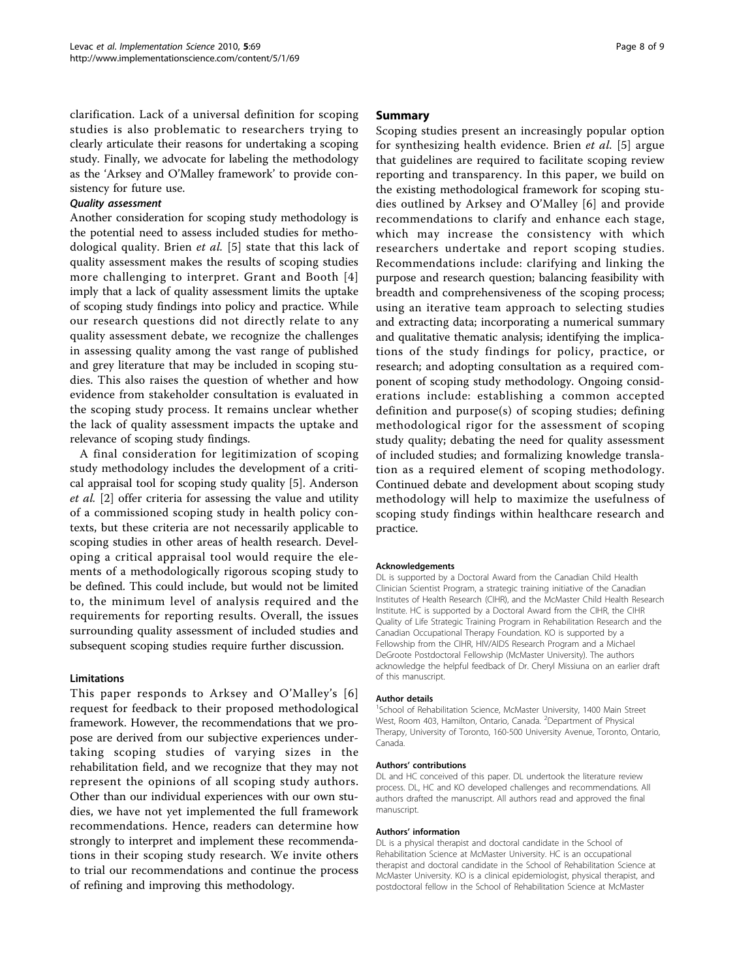clarification. Lack of a universal definition for scoping studies is also problematic to researchers trying to clearly articulate their reasons for undertaking a scoping study. Finally, we advocate for labeling the methodology as the 'Arksey and O'Malley framework' to provide consistency for future use.

#### Quality assessment

Another consideration for scoping study methodology is the potential need to assess included studies for methodological quality. Brien et al. [[5\]](#page-8-0) state that this lack of quality assessment makes the results of scoping studies more challenging to interpret. Grant and Booth [[4](#page-8-0)] imply that a lack of quality assessment limits the uptake of scoping study findings into policy and practice. While our research questions did not directly relate to any quality assessment debate, we recognize the challenges in assessing quality among the vast range of published and grey literature that may be included in scoping studies. This also raises the question of whether and how evidence from stakeholder consultation is evaluated in the scoping study process. It remains unclear whether the lack of quality assessment impacts the uptake and relevance of scoping study findings.

A final consideration for legitimization of scoping study methodology includes the development of a critical appraisal tool for scoping study quality [\[5](#page-8-0)]. Anderson et al. [\[2](#page-8-0)] offer criteria for assessing the value and utility of a commissioned scoping study in health policy contexts, but these criteria are not necessarily applicable to scoping studies in other areas of health research. Developing a critical appraisal tool would require the elements of a methodologically rigorous scoping study to be defined. This could include, but would not be limited to, the minimum level of analysis required and the requirements for reporting results. Overall, the issues surrounding quality assessment of included studies and subsequent scoping studies require further discussion.

#### Limitations

This paper responds to Arksey and O'Malley's [[6](#page-8-0)] request for feedback to their proposed methodological framework. However, the recommendations that we propose are derived from our subjective experiences undertaking scoping studies of varying sizes in the rehabilitation field, and we recognize that they may not represent the opinions of all scoping study authors. Other than our individual experiences with our own studies, we have not yet implemented the full framework recommendations. Hence, readers can determine how strongly to interpret and implement these recommendations in their scoping study research. We invite others to trial our recommendations and continue the process of refining and improving this methodology.

#### Summary

Scoping studies present an increasingly popular option for synthesizing health evidence. Brien et al. [\[5](#page-8-0)] argue that guidelines are required to facilitate scoping review reporting and transparency. In this paper, we build on the existing methodological framework for scoping studies outlined by Arksey and O'Malley [\[6](#page-8-0)] and provide recommendations to clarify and enhance each stage, which may increase the consistency with which researchers undertake and report scoping studies. Recommendations include: clarifying and linking the purpose and research question; balancing feasibility with breadth and comprehensiveness of the scoping process; using an iterative team approach to selecting studies and extracting data; incorporating a numerical summary and qualitative thematic analysis; identifying the implications of the study findings for policy, practice, or research; and adopting consultation as a required component of scoping study methodology. Ongoing considerations include: establishing a common accepted definition and purpose(s) of scoping studies; defining methodological rigor for the assessment of scoping study quality; debating the need for quality assessment of included studies; and formalizing knowledge translation as a required element of scoping methodology. Continued debate and development about scoping study methodology will help to maximize the usefulness of scoping study findings within healthcare research and practice.

#### Acknowledgements

DL is supported by a Doctoral Award from the Canadian Child Health Clinician Scientist Program, a strategic training initiative of the Canadian Institutes of Health Research (CIHR), and the McMaster Child Health Research Institute. HC is supported by a Doctoral Award from the CIHR, the CIHR Quality of Life Strategic Training Program in Rehabilitation Research and the Canadian Occupational Therapy Foundation. KO is supported by a Fellowship from the CIHR, HIV/AIDS Research Program and a Michael DeGroote Postdoctoral Fellowship (McMaster University). The authors acknowledge the helpful feedback of Dr. Cheryl Missiuna on an earlier draft of this manuscript.

#### Author details

<sup>1</sup>School of Rehabilitation Science, McMaster University, 1400 Main Street West, Room 403, Hamilton, Ontario, Canada. <sup>2</sup>Department of Physical Therapy, University of Toronto, 160-500 University Avenue, Toronto, Ontario, Canada.

#### Authors' contributions

DL and HC conceived of this paper. DL undertook the literature review process. DL, HC and KO developed challenges and recommendations. All authors drafted the manuscript. All authors read and approved the final manuscript.

#### Authors' information

DL is a physical therapist and doctoral candidate in the School of Rehabilitation Science at McMaster University. HC is an occupational therapist and doctoral candidate in the School of Rehabilitation Science at McMaster University. KO is a clinical epidemiologist, physical therapist, and postdoctoral fellow in the School of Rehabilitation Science at McMaster